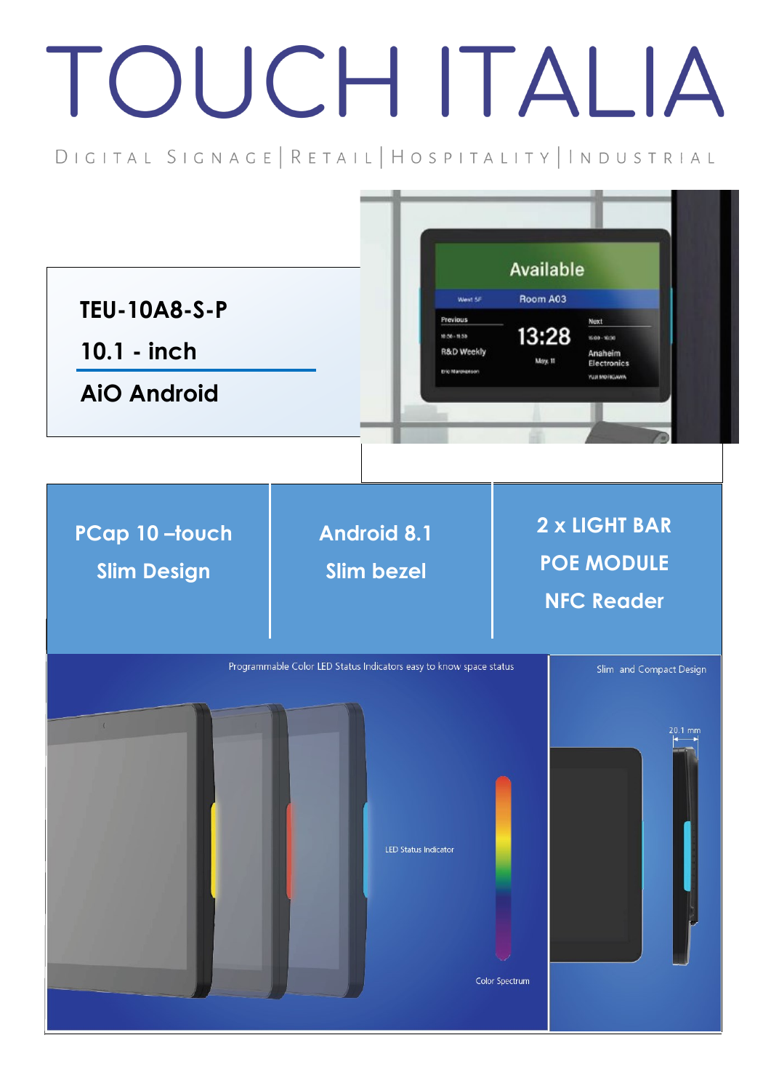## TOUCH ITALIA

DIGITAL SIGNAGE | RETAIL | HOSPITALITY | INDUSTRIAL